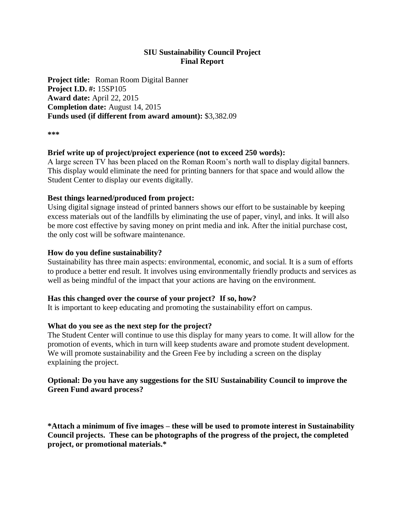# **SIU Sustainability Council Project Final Report**

**Project title:** Roman Room Digital Banner **Project I.D. #:** 15SP105 **Award date:** April 22, 2015 **Completion date:** August 14, 2015 **Funds used (if different from award amount):** \$3,382.09

**\*\*\***

## **Brief write up of project/project experience (not to exceed 250 words):**

A large screen TV has been placed on the Roman Room's north wall to display digital banners. This display would eliminate the need for printing banners for that space and would allow the Student Center to display our events digitally.

### **Best things learned/produced from project:**

Using digital signage instead of printed banners shows our effort to be sustainable by keeping excess materials out of the landfills by eliminating the use of paper, vinyl, and inks. It will also be more cost effective by saving money on print media and ink. After the initial purchase cost, the only cost will be software maintenance.

### **How do you define sustainability?**

Sustainability has three main aspects: environmental, economic, and social. It is a sum of efforts to produce a better end result. It involves using environmentally friendly products and services as well as being mindful of the impact that your actions are having on the environment.

### **Has this changed over the course of your project? If so, how?**

It is important to keep educating and promoting the sustainability effort on campus.

### **What do you see as the next step for the project?**

The Student Center will continue to use this display for many years to come. It will allow for the promotion of events, which in turn will keep students aware and promote student development. We will promote sustainability and the Green Fee by including a screen on the display explaining the project.

### **Optional: Do you have any suggestions for the SIU Sustainability Council to improve the Green Fund award process?**

**\*Attach a minimum of five images – these will be used to promote interest in Sustainability Council projects. These can be photographs of the progress of the project, the completed project, or promotional materials.\***